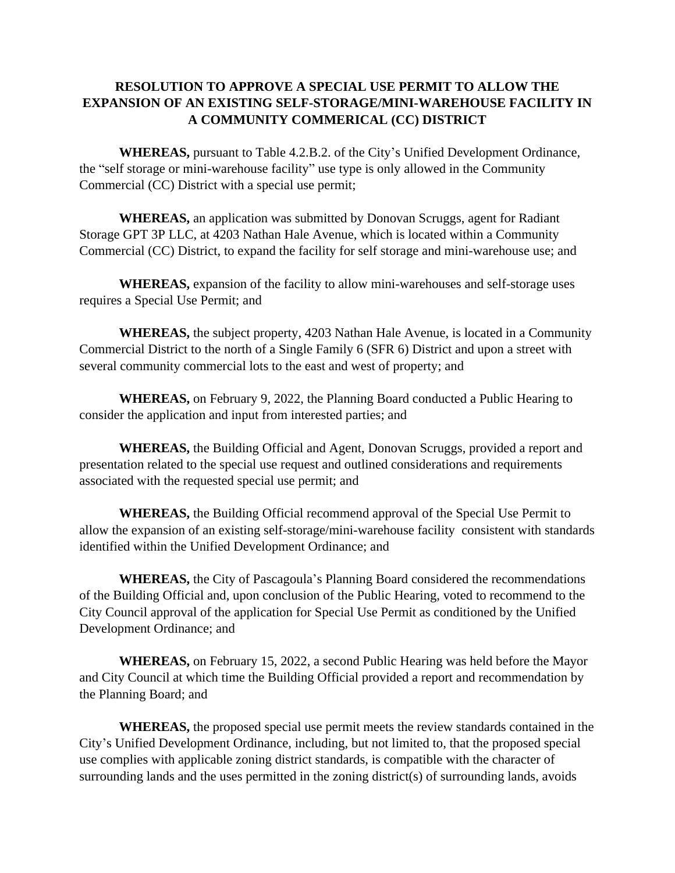## **RESOLUTION TO APPROVE A SPECIAL USE PERMIT TO ALLOW THE EXPANSION OF AN EXISTING SELF-STORAGE/MINI-WAREHOUSE FACILITY IN A COMMUNITY COMMERICAL (CC) DISTRICT**

**WHEREAS,** pursuant to Table 4.2.B.2. of the City's Unified Development Ordinance, the "self storage or mini-warehouse facility" use type is only allowed in the Community Commercial (CC) District with a special use permit;

**WHEREAS,** an application was submitted by Donovan Scruggs, agent for Radiant Storage GPT 3P LLC, at 4203 Nathan Hale Avenue, which is located within a Community Commercial (CC) District, to expand the facility for self storage and mini-warehouse use; and

**WHEREAS,** expansion of the facility to allow mini-warehouses and self-storage uses requires a Special Use Permit; and

**WHEREAS,** the subject property, 4203 Nathan Hale Avenue, is located in a Community Commercial District to the north of a Single Family 6 (SFR 6) District and upon a street with several community commercial lots to the east and west of property; and

**WHEREAS,** on February 9, 2022, the Planning Board conducted a Public Hearing to consider the application and input from interested parties; and

**WHEREAS,** the Building Official and Agent, Donovan Scruggs, provided a report and presentation related to the special use request and outlined considerations and requirements associated with the requested special use permit; and

**WHEREAS,** the Building Official recommend approval of the Special Use Permit to allow the expansion of an existing self-storage/mini-warehouse facility consistent with standards identified within the Unified Development Ordinance; and

**WHEREAS,** the City of Pascagoula's Planning Board considered the recommendations of the Building Official and, upon conclusion of the Public Hearing, voted to recommend to the City Council approval of the application for Special Use Permit as conditioned by the Unified Development Ordinance; and

**WHEREAS,** on February 15, 2022, a second Public Hearing was held before the Mayor and City Council at which time the Building Official provided a report and recommendation by the Planning Board; and

**WHEREAS,** the proposed special use permit meets the review standards contained in the City's Unified Development Ordinance, including, but not limited to, that the proposed special use complies with applicable zoning district standards, is compatible with the character of surrounding lands and the uses permitted in the zoning district(s) of surrounding lands, avoids